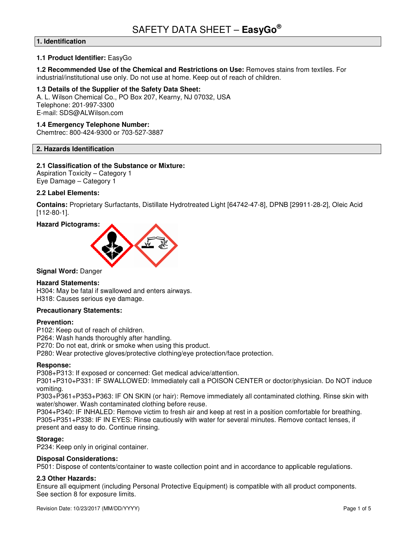# **1. Identification**

## **1.1 Product Identifier:** EasyGo

#### **1.2 Recommended Use of the Chemical and Restrictions on Use:** Removes stains from textiles. For industrial/institutional use only. Do not use at home. Keep out of reach of children.

**1.3 Details of the Supplier of the Safety Data Sheet:**  A. L. Wilson Chemical Co., PO Box 207, Kearny, NJ 07032, USA Telephone: 201-997-3300 E-mail: SDS@ALWilson.com

## **1.4 Emergency Telephone Number:**

Chemtrec: 800-424-9300 or 703-527-3887

# **2. Hazards Identification**

## **2.1 Classification of the Substance or Mixture:**

Aspiration Toxicity – Category 1 Eye Damage – Category 1

## **2.2 Label Elements:**

**Contains:** Proprietary Surfactants, Distillate Hydrotreated Light [64742-47-8], DPNB [29911-28-2], Oleic Acid [112-80-1].





## **Signal Word:** Danger

## **Hazard Statements:**

H304: May be fatal if swallowed and enters airways. H318: Causes serious eye damage.

## **Precautionary Statements:**

#### **Prevention:**

P102: Keep out of reach of children.

P264: Wash hands thoroughly after handling.

P270: Do not eat, drink or smoke when using this product.

P280: Wear protective gloves/protective clothing/eye protection/face protection.

## **Response:**

P308+P313: If exposed or concerned: Get medical advice/attention.

P301+P310+P331: IF SWALLOWED: Immediately call a POISON CENTER or doctor/physician. Do NOT induce vomiting.

P303+P361+P353+P363: IF ON SKIN (or hair): Remove immediately all contaminated clothing. Rinse skin with water/shower. Wash contaminated clothing before reuse.

P304+P340: IF INHALED: Remove victim to fresh air and keep at rest in a position comfortable for breathing. P305+P351+P338: IF IN EYES: Rinse cautiously with water for several minutes. Remove contact lenses, if present and easy to do. Continue rinsing.

## **Storage:**

P234: Keep only in original container.

## **Disposal Considerations:**

P501: Dispose of contents/container to waste collection point and in accordance to applicable regulations.

## **2.3 Other Hazards:**

Ensure all equipment (including Personal Protective Equipment) is compatible with all product components. See section 8 for exposure limits.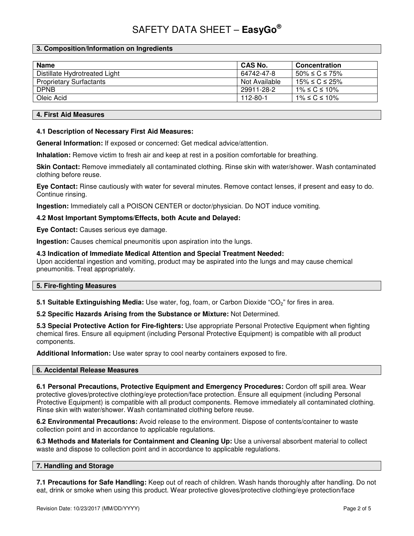# **3. Composition/Information on Ingredients**

| <b>Name</b>                    | <b>CAS No.</b> | <b>Concentration</b>  |
|--------------------------------|----------------|-----------------------|
| Distillate Hydrotreated Light  | 64742-47-8     | $50\% \le C \le 75\%$ |
| <b>Proprietary Surfactants</b> | Not Available  | 15% ≤ C ≤ 25%         |
| <b>DPNB</b>                    | 29911-28-2     | $1\%$ ≤ C ≤ 10%       |
| Oleic Acid                     | 112-80-1       | $1\%$ ≤ C ≤ 10%       |

## **4. First Aid Measures**

## **4.1 Description of Necessary First Aid Measures:**

**General Information:** If exposed or concerned: Get medical advice/attention.

**Inhalation:** Remove victim to fresh air and keep at rest in a position comfortable for breathing.

**Skin Contact:** Remove immediately all contaminated clothing. Rinse skin with water/shower. Wash contaminated clothing before reuse.

**Eye Contact:** Rinse cautiously with water for several minutes. Remove contact lenses, if present and easy to do. Continue rinsing.

**Ingestion:** Immediately call a POISON CENTER or doctor/physician. Do NOT induce vomiting.

## **4.2 Most Important Symptoms/Effects, both Acute and Delayed:**

**Eye Contact:** Causes serious eye damage.

**Ingestion:** Causes chemical pneumonitis upon aspiration into the lungs.

#### **4.3 Indication of Immediate Medical Attention and Special Treatment Needed:**

Upon accidental ingestion and vomiting, product may be aspirated into the lungs and may cause chemical pneumonitis. Treat appropriately.

## **5. Fire-fighting Measures**

**5.1 Suitable Extinguishing Media:** Use water, fog, foam, or Carbon Dioxide "CO<sub>2</sub>" for fires in area.

**5.2 Specific Hazards Arising from the Substance or Mixture:** Not Determined.

**5.3 Special Protective Action for Fire-fighters:** Use appropriate Personal Protective Equipment when fighting chemical fires. Ensure all equipment (including Personal Protective Equipment) is compatible with all product components.

**Additional Information:** Use water spray to cool nearby containers exposed to fire.

## **6. Accidental Release Measures**

**6.1 Personal Precautions, Protective Equipment and Emergency Procedures:** Cordon off spill area. Wear protective gloves/protective clothing/eye protection/face protection. Ensure all equipment (including Personal Protective Equipment) is compatible with all product components. Remove immediately all contaminated clothing. Rinse skin with water/shower. Wash contaminated clothing before reuse.

**6.2 Environmental Precautions:** Avoid release to the environment. Dispose of contents/container to waste collection point and in accordance to applicable regulations.

**6.3 Methods and Materials for Containment and Cleaning Up:** Use a universal absorbent material to collect waste and dispose to collection point and in accordance to applicable regulations.

## **7. Handling and Storage**

**7.1 Precautions for Safe Handling:** Keep out of reach of children. Wash hands thoroughly after handling. Do not eat, drink or smoke when using this product. Wear protective gloves/protective clothing/eye protection/face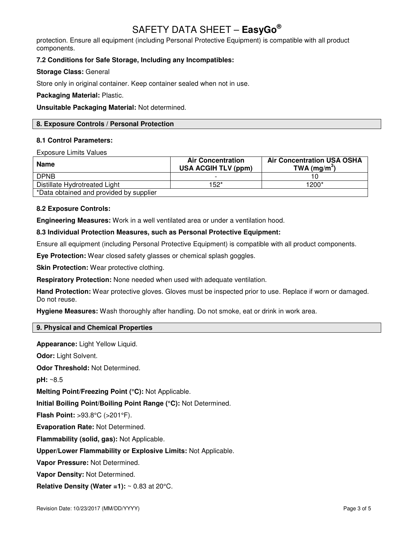protection. Ensure all equipment (including Personal Protective Equipment) is compatible with all product components.

# **7.2 Conditions for Safe Storage, Including any Incompatibles:**

# **Storage Class:** General

Store only in original container. Keep container sealed when not in use.

**Packaging Material:** Plastic.

**Unsuitable Packaging Material:** Not determined.

# **8. Exposure Controls / Personal Protection**

# **8.1 Control Parameters:**

Exposure Limits Values

| <b>Name</b>                             | <b>Air Concentration</b><br><b>USA ACGIH TLV (ppm)</b> | <b>Air Concentration USA OSHA</b><br>TWA (mg/m <sup>3</sup> ) |
|-----------------------------------------|--------------------------------------------------------|---------------------------------------------------------------|
| <b>DPNB</b>                             |                                                        |                                                               |
| Distillate Hydrotreated Light           | 152*                                                   | 1200*                                                         |
| *Data obtained and provided by supplier |                                                        |                                                               |

# **8.2 Exposure Controls:**

**Engineering Measures:** Work in a well ventilated area or under a ventilation hood.

# **8.3 Individual Protection Measures, such as Personal Protective Equipment:**

Ensure all equipment (including Personal Protective Equipment) is compatible with all product components.

**Eye Protection:** Wear closed safety glasses or chemical splash goggles.

**Skin Protection:** Wear protective clothing.

**Respiratory Protection:** None needed when used with adequate ventilation.

**Hand Protection:** Wear protective gloves. Gloves must be inspected prior to use. Replace if worn or damaged. Do not reuse.

**Hygiene Measures:** Wash thoroughly after handling. Do not smoke, eat or drink in work area.

# **9. Physical and Chemical Properties**

**Appearance:** Light Yellow Liquid.

**Odor:** Light Solvent.

**Odor Threshold:** Not Determined.

**pH:** ~8.5

**Melting Point/Freezing Point (°C):** Not Applicable.

**Initial Boiling Point/Boiling Point Range (°C):** Not Determined.

**Flash Point:** >93.8°C (>201°F).

**Evaporation Rate:** Not Determined.

**Flammability (solid, gas):** Not Applicable.

**Upper/Lower Flammability or Explosive Limits:** Not Applicable.

**Vapor Pressure:** Not Determined.

**Vapor Density:** Not Determined.

**Relative Density (Water =1):** ~ 0.83 at 20°C.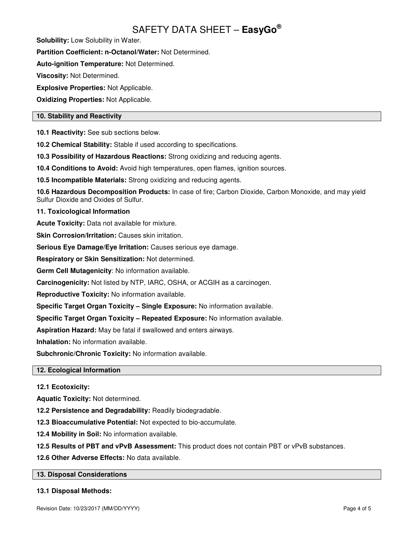**Solubility:** Low Solubility in Water.

**Partition Coefficient: n-Octanol/Water:** Not Determined.

**Auto-ignition Temperature:** Not Determined.

**Viscosity:** Not Determined.

**Explosive Properties:** Not Applicable.

**Oxidizing Properties:** Not Applicable.

# **10. Stability and Reactivity**

**10.1 Reactivity:** See sub sections below.

**10.2 Chemical Stability:** Stable if used according to specifications.

**10.3 Possibility of Hazardous Reactions:** Strong oxidizing and reducing agents.

**10.4 Conditions to Avoid:** Avoid high temperatures, open flames, ignition sources.

**10.5 Incompatible Materials:** Strong oxidizing and reducing agents.

**10.6 Hazardous Decomposition Products:** In case of fire; Carbon Dioxide, Carbon Monoxide, and may yield Sulfur Dioxide and Oxides of Sulfur.

# **11. Toxicological Information**

**Acute Toxicity:** Data not available for mixture.

**Skin Corrosion/Irritation: Causes skin irritation.** 

**Serious Eye Damage/Eye Irritation:** Causes serious eye damage.

**Respiratory or Skin Sensitization:** Not determined.

**Germ Cell Mutagenicity**: No information available.

**Carcinogenicity:** Not listed by NTP, IARC, OSHA, or ACGIH as a carcinogen.

**Reproductive Toxicity:** No information available.

**Specific Target Organ Toxicity – Single Exposure:** No information available.

**Specific Target Organ Toxicity – Repeated Exposure:** No information available.

**Aspiration Hazard:** May be fatal if swallowed and enters airways.

**Inhalation:** No information available.

**Subchronic/Chronic Toxicity:** No information available.

# **12. Ecological Information**

# **12.1 Ecotoxicity:**

**Aquatic Toxicity:** Not determined.

**12.2 Persistence and Degradability:** Readily biodegradable.

**12.3 Bioaccumulative Potential:** Not expected to bio-accumulate.

**12.4 Mobility in Soil:** No information available.

**12.5 Results of PBT and vPvB Assessment:** This product does not contain PBT or vPvB substances.

**12.6 Other Adverse Effects:** No data available.

## **13. Disposal Considerations**

## **13.1 Disposal Methods:**